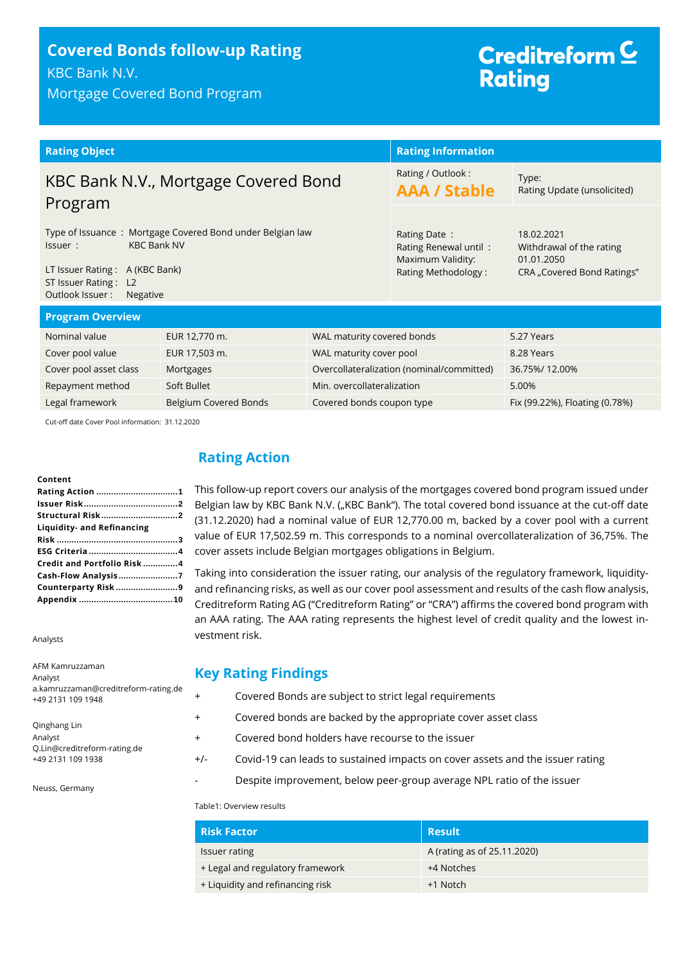## **Covered Bonds follow-up Rating** KBC Bank N.V.

Mortgage Covered Bond Program

# Creditreform<sup>C</sup> **Rating**

| <b>Rating Object</b>                                                                                                                                                                |                                           |                                                                                   | <b>Rating Information</b>                                                          |               |
|-------------------------------------------------------------------------------------------------------------------------------------------------------------------------------------|-------------------------------------------|-----------------------------------------------------------------------------------|------------------------------------------------------------------------------------|---------------|
| KBC Bank N.V., Mortgage Covered Bond<br>Program                                                                                                                                     |                                           | Rating / Outlook:<br><b>AAA / Stable</b>                                          | Type:<br>Rating Update (unsolicited)                                               |               |
| Type of Issuance: Mortgage Covered Bond under Belgian law<br><b>KBC Bank NV</b><br>Issuer:<br>LT Issuer Rating: A (KBC Bank)<br>ST Issuer Rating: L2<br>Outlook Issuer:<br>Negative |                                           | Rating Date:<br>Rating Renewal until:<br>Maximum Validity:<br>Rating Methodology: | 18.02.2021<br>Withdrawal of the rating<br>01.01.2050<br>CRA "Covered Bond Ratings" |               |
| <b>Program Overview</b>                                                                                                                                                             |                                           |                                                                                   |                                                                                    |               |
| Nominal value                                                                                                                                                                       | EUR 12,770 m.                             | WAL maturity covered bonds                                                        |                                                                                    | 5.27 Years    |
| Cover pool value                                                                                                                                                                    | EUR 17,503 m.<br>WAL maturity cover pool  |                                                                                   |                                                                                    | 8.28 Years    |
| Cover pool asset class                                                                                                                                                              | Mortgages                                 |                                                                                   | Overcollateralization (nominal/committed)                                          | 36.75%/12.00% |
| Repayment method                                                                                                                                                                    | Soft Bullet<br>Min. overcollateralization |                                                                                   |                                                                                    | 5.00%         |
| Legal framework<br><b>Belgium Covered Bonds</b><br>Covered bonds coupon type                                                                                                        |                                           |                                                                                   | Fix (99.22%), Floating (0.78%)                                                     |               |

Cut-off date Cover Pool information: 31.12.2020

#### **Content**

| Rating Action 1            |
|----------------------------|
|                            |
| Structural Risk2           |
| Liquidity- and Refinancing |
|                            |
|                            |
| Credit and Portfolio Risk4 |
| Cash-Flow Analysis7        |
| Counterparty Risk 9        |
|                            |

Analysts

AFM Kamruzzaman Analyst a.kamruzzaman@creditreform-rating.de +49 2131 109 1948

Qinghang Lin Analyst Q.Lin@creditreform-rating.de +49 2131 109 1938

Neuss, Germany

## <span id="page-0-0"></span>**Rating Action**

This follow-up report covers our analysis of the mortgages covered bond program issued under Belgian law by KBC Bank N.V. ("KBC Bank"). The total covered bond issuance at the cut-off date (31.12.2020) had a nominal value of EUR 12,770.00 m, backed by a cover pool with a current value of EUR 17,502.59 m. This corresponds to a nominal overcollateralization of 36,75%. The cover assets include Belgian mortgages obligations in Belgium.

Taking into consideration the issuer rating, our analysis of the regulatory framework, liquidityand refinancing risks, as well as our cover pool assessment and results of the cash flow analysis, Creditreform Rating AG ("Creditreform Rating" or "CRA") affirms the covered bond program with an AAA rating. The AAA rating represents the highest level of credit quality and the lowest investment risk.

## **Key Rating Findings**

- + Covered Bonds are subject to strict legal requirements
- + Covered bonds are backed by the appropriate cover asset class
- + Covered bond holders have recourse to the issuer
- +/- Covid-19 can leads to sustained impacts on cover assets and the issuer rating
	- Despite improvement, below peer-group average NPL ratio of the issuer

#### Table1: Overview results

| <b>Risk Factor</b>               | <b>Result</b>               |
|----------------------------------|-----------------------------|
| <b>Issuer rating</b>             | A (rating as of 25.11.2020) |
| + Legal and regulatory framework | +4 Notches                  |
| + Liquidity and refinancing risk | +1 Notch                    |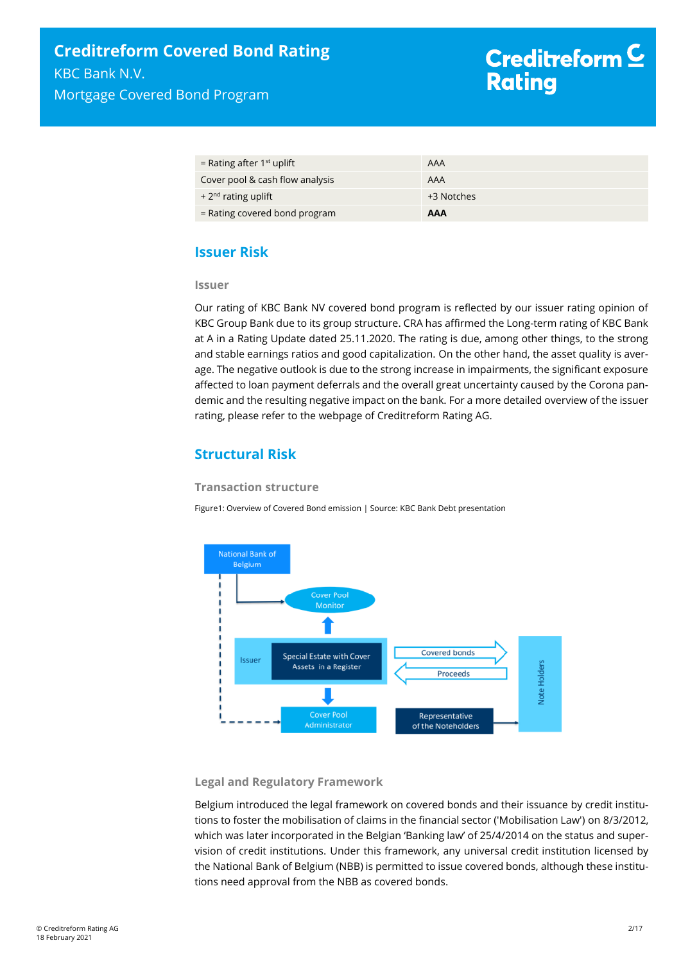| = Rating after $1st$ uplift     | AAA        |
|---------------------------------|------------|
| Cover pool & cash flow analysis | AAA        |
| $+2nd$ rating uplift            | +3 Notches |
| $=$ Rating covered bond program | AAA        |

## <span id="page-1-0"></span>**Issuer Risk**

#### **Issuer**

Our rating of KBC Bank NV covered bond program is reflected by our issuer rating opinion of KBC Group Bank due to its group structure. CRA has affirmed the Long-term rating of KBC Bank at A in a Rating Update dated 25.11.2020. The rating is due, among other things, to the strong and stable earnings ratios and good capitalization. On the other hand, the asset quality is average. The negative outlook is due to the strong increase in impairments, the significant exposure affected to loan payment deferrals and the overall great uncertainty caused by the Corona pandemic and the resulting negative impact on the bank. For a more detailed overview of the issuer rating, please refer to the webpage of Creditreform Rating AG.

## <span id="page-1-1"></span>**Structural Risk**

#### **Transaction structure**

Figure1: Overview of Covered Bond emission | Source: KBC Bank Debt presentation



#### **Legal and Regulatory Framework**

Belgium introduced the legal framework on covered bonds and their issuance by credit institutions to foster the mobilisation of claims in the financial sector ('Mobilisation Law') on 8/3/2012, which was later incorporated in the Belgian 'Banking law' of 25/4/2014 on the status and supervision of credit institutions. Under this framework, any universal credit institution licensed by the National Bank of Belgium (NBB) is permitted to issue covered bonds, although these institutions need approval from the NBB as covered bonds.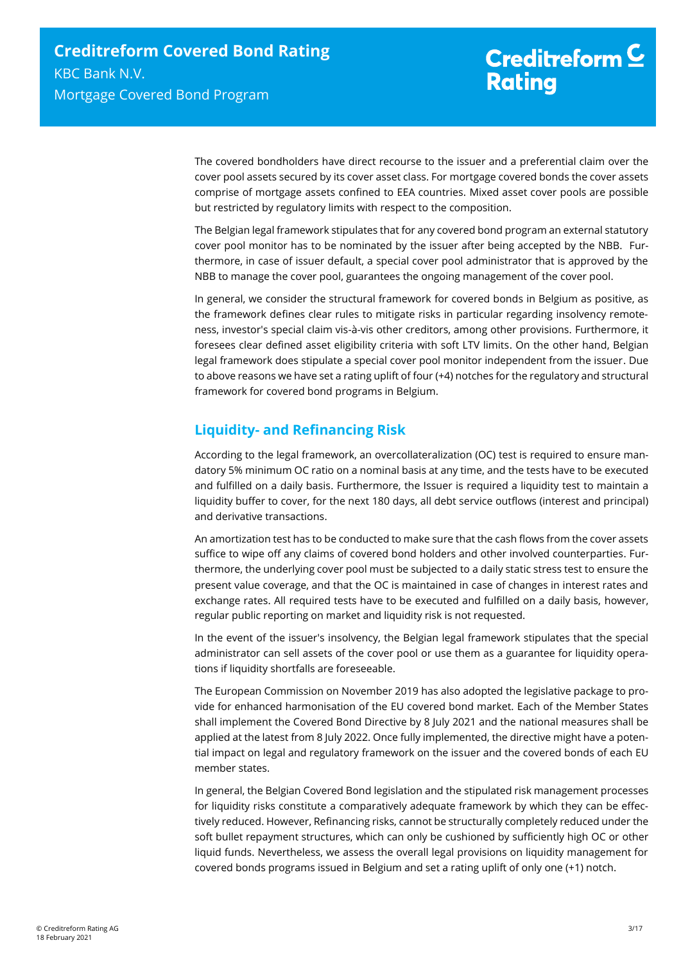The covered bondholders have direct recourse to the issuer and a preferential claim over the cover pool assets secured by its cover asset class. For mortgage covered bonds the cover assets comprise of mortgage assets confined to EEA countries. Mixed asset cover pools are possible but restricted by regulatory limits with respect to the composition.

The Belgian legal framework stipulates that for any covered bond program an external statutory cover pool monitor has to be nominated by the issuer after being accepted by the NBB. Furthermore, in case of issuer default, a special cover pool administrator that is approved by the NBB to manage the cover pool, guarantees the ongoing management of the cover pool.

In general, we consider the structural framework for covered bonds in Belgium as positive, as the framework defines clear rules to mitigate risks in particular regarding insolvency remoteness, investor's special claim vis-à-vis other creditors, among other provisions. Furthermore, it foresees clear defined asset eligibility criteria with soft LTV limits. On the other hand, Belgian legal framework does stipulate a special cover pool monitor independent from the issuer. Due to above reasons we have set a rating uplift of four (+4) notches for the regulatory and structural framework for covered bond programs in Belgium.

## <span id="page-2-0"></span>**Liquidity- and Refinancing Risk**

According to the legal framework, an overcollateralization (OC) test is required to ensure mandatory 5% minimum OC ratio on a nominal basis at any time, and the tests have to be executed and fulfilled on a daily basis. Furthermore, the Issuer is required a liquidity test to maintain a liquidity buffer to cover, for the next 180 days, all debt service outflows (interest and principal) and derivative transactions.

An amortization test has to be conducted to make sure that the cash flows from the cover assets suffice to wipe off any claims of covered bond holders and other involved counterparties. Furthermore, the underlying cover pool must be subjected to a daily static stress test to ensure the present value coverage, and that the OC is maintained in case of changes in interest rates and exchange rates. All required tests have to be executed and fulfilled on a daily basis, however, regular public reporting on market and liquidity risk is not requested.

In the event of the issuer's insolvency, the Belgian legal framework stipulates that the special administrator can sell assets of the cover pool or use them as a guarantee for liquidity operations if liquidity shortfalls are foreseeable.

The European Commission on November 2019 has also adopted the legislative package to provide for enhanced harmonisation of the EU covered bond market. Each of the Member States shall implement the Covered Bond Directive by 8 July 2021 and the national measures shall be applied at the latest from 8 July 2022. Once fully implemented, the directive might have a potential impact on legal and regulatory framework on the issuer and the covered bonds of each EU member states.

In general, the Belgian Covered Bond legislation and the stipulated risk management processes for liquidity risks constitute a comparatively adequate framework by which they can be effectively reduced. However, Refinancing risks, cannot be structurally completely reduced under the soft bullet repayment structures, which can only be cushioned by sufficiently high OC or other liquid funds. Nevertheless, we assess the overall legal provisions on liquidity management for covered bonds programs issued in Belgium and set a rating uplift of only one (+1) notch.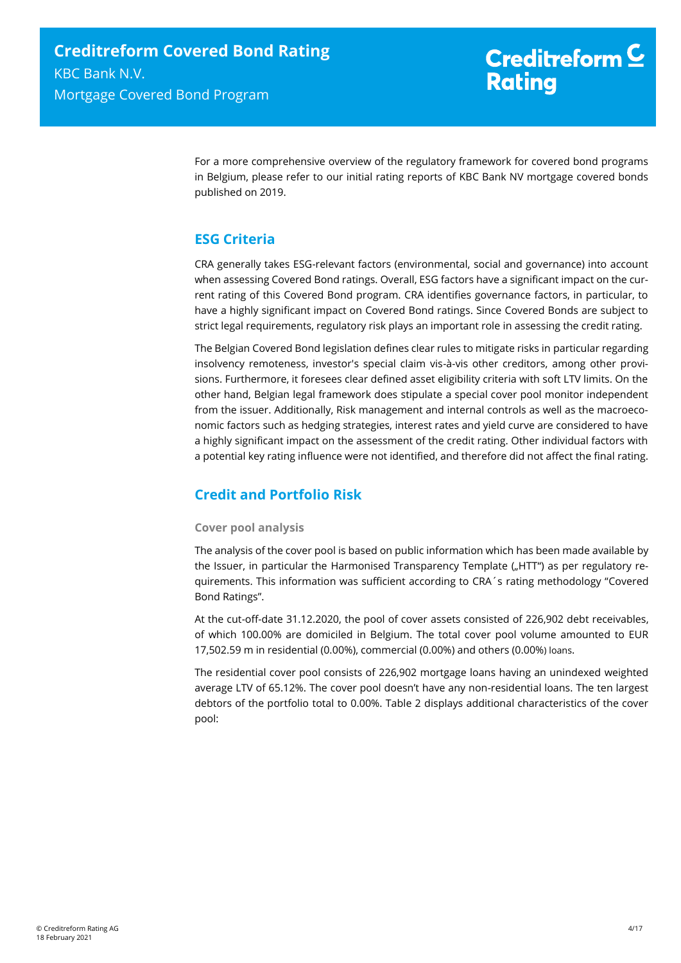For a more comprehensive overview of the regulatory framework for covered bond programs in Belgium, please refer to our initial rating reports of KBC Bank NV mortgage covered bonds published on 2019.

## <span id="page-3-0"></span>**ESG Criteria**

CRA generally takes ESG-relevant factors (environmental, social and governance) into account when assessing Covered Bond ratings. Overall, ESG factors have a significant impact on the current rating of this Covered Bond program. CRA identifies governance factors, in particular, to have a highly significant impact on Covered Bond ratings. Since Covered Bonds are subject to strict legal requirements, regulatory risk plays an important role in assessing the credit rating.

The Belgian Covered Bond legislation defines clear rules to mitigate risks in particular regarding insolvency remoteness, investor's special claim vis-à-vis other creditors, among other provisions. Furthermore, it foresees clear defined asset eligibility criteria with soft LTV limits. On the other hand, Belgian legal framework does stipulate a special cover pool monitor independent from the issuer. Additionally, Risk management and internal controls as well as the macroeconomic factors such as hedging strategies, interest rates and yield curve are considered to have a highly significant impact on the assessment of the credit rating. Other individual factors with a potential key rating influence were not identified, and therefore did not affect the final rating.

## <span id="page-3-1"></span>**Credit and Portfolio Risk**

### **Cover pool analysis**

The analysis of the cover pool is based on public information which has been made available by the Issuer, in particular the Harmonised Transparency Template ("HTT") as per regulatory requirements. This information was sufficient according to CRA´s rating methodology "Covered Bond Ratings".

At the cut-off-date 31.12.2020, the pool of cover assets consisted of 226,902 debt receivables, of which 100.00% are domiciled in Belgium. The total cover pool volume amounted to EUR 17,502.59 m in residential (0.00%), commercial (0.00%) and others (0.00%) loans.

The residential cover pool consists of 226,902 mortgage loans having an unindexed weighted average LTV of 65.12%. The cover pool doesn't have any non-residential loans. The ten largest debtors of the portfolio total to 0.00%. [Table 2](#page-4-0) displays additional characteristics of the cover pool: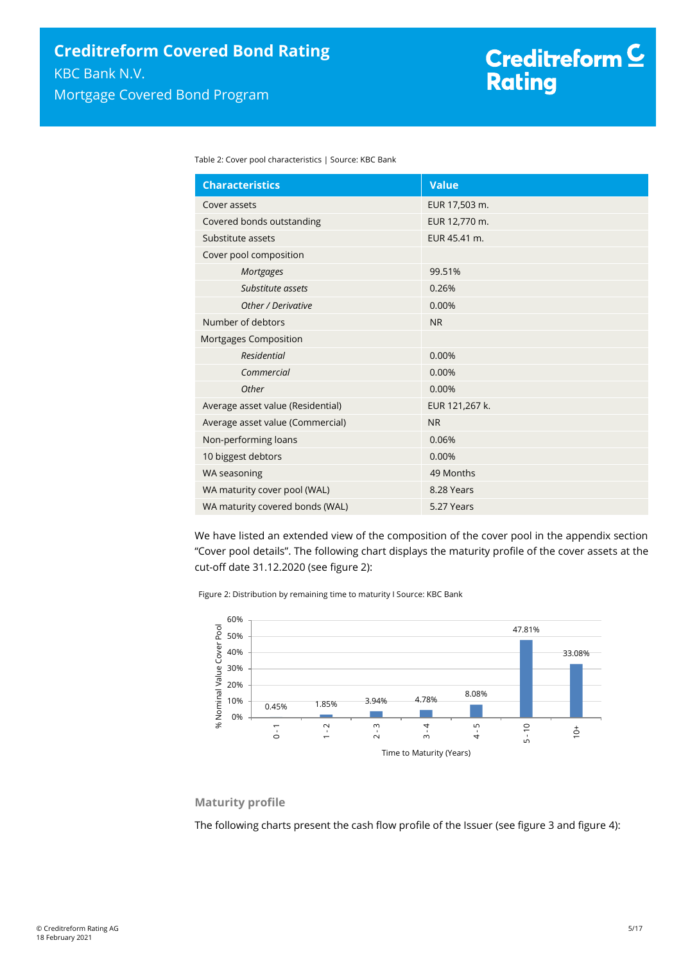<span id="page-4-0"></span>Table 2: Cover pool characteristics | Source: KBC Bank

| <b>Characteristics</b>            | <b>Value</b>   |  |
|-----------------------------------|----------------|--|
| Cover assets                      | EUR 17,503 m.  |  |
| Covered bonds outstanding         | EUR 12,770 m.  |  |
| Substitute assets                 | EUR 45.41 m.   |  |
| Cover pool composition            |                |  |
| Mortgages                         | 99.51%         |  |
| Substitute assets                 | 0.26%          |  |
| Other / Derivative                | 0.00%          |  |
| Number of debtors                 | <b>NR</b>      |  |
| Mortgages Composition             |                |  |
| <b>Residential</b>                | 0.00%          |  |
| Commercial                        | 0.00%          |  |
| Other                             | 0.00%          |  |
| Average asset value (Residential) | EUR 121,267 k. |  |
| Average asset value (Commercial)  | <b>NR</b>      |  |
| Non-performing loans              | 0.06%          |  |
| 10 biggest debtors                | 0.00%          |  |
| WA seasoning                      | 49 Months      |  |
| WA maturity cover pool (WAL)      | 8.28 Years     |  |
| WA maturity covered bonds (WAL)   | 5.27 Years     |  |

We have listed an extended view of the composition of the cover pool in the appendix section "Cover pool details". The following chart displays the maturity profile of the cover assets at the cut-off date 31.12.2020 (see [figure 2\)](#page-4-1):

<span id="page-4-1"></span>Figure 2: Distribution by remaining time to maturity I Source: KBC Bank



### **Maturity profile**

The following charts present the cash flow profile of the Issuer (see [figure 3](#page-5-0) an[d figure 4\)](#page-5-1):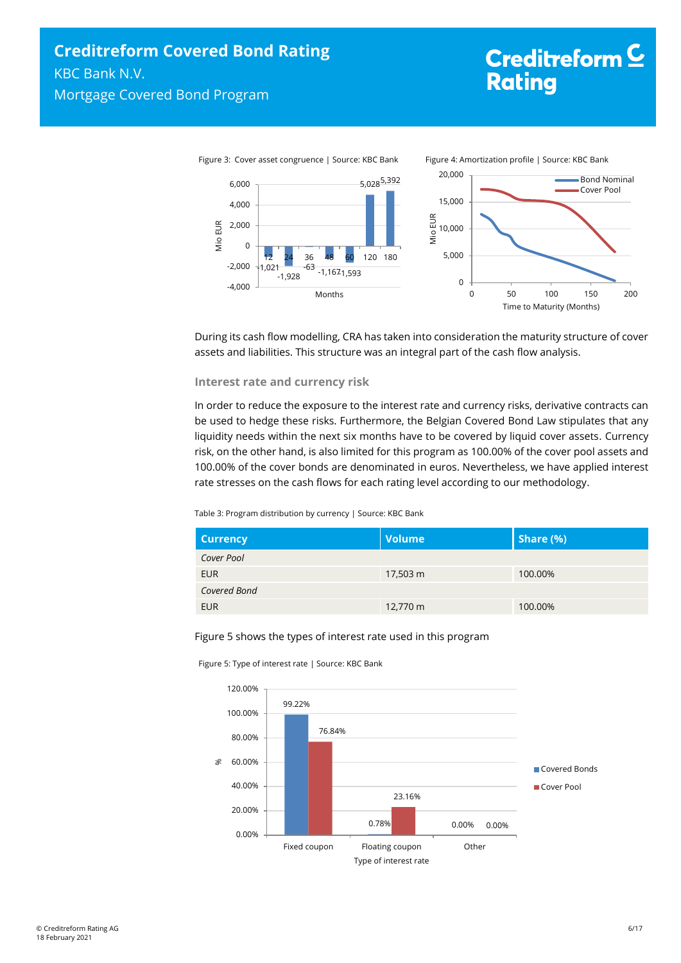# <span id="page-5-1"></span>Creditreform<sup>C</sup> **Rating**

<span id="page-5-0"></span>

During its cash flow modelling, CRA has taken into consideration the maturity structure of cover assets and liabilities. This structure was an integral part of the cash flow analysis.

#### **Interest rate and currency risk**

In order to reduce the exposure to the interest rate and currency risks, derivative contracts can be used to hedge these risks. Furthermore, the Belgian Covered Bond Law stipulates that any liquidity needs within the next six months have to be covered by liquid cover assets. Currency risk, on the other hand, is also limited for this program as 100.00% of the cover pool assets and 100.00% of the cover bonds are denominated in euros. Nevertheless, we have applied interest rate stresses on the cash flows for each rating level according to our methodology.

#### Table 3: Program distribution by currency | Source: KBC Bank

| <b>Currency</b> | <b>Volume</b> | Share (%) |
|-----------------|---------------|-----------|
| Cover Pool      |               |           |
| <b>EUR</b>      | 17,503 m      | 100.00%   |
| Covered Bond    |               |           |
| <b>EUR</b>      | 12,770 m      | 100.00%   |

#### Figure 5 shows the types of interest rate used in this program

Figure 5: Type of interest rate | Source: KBC Bank

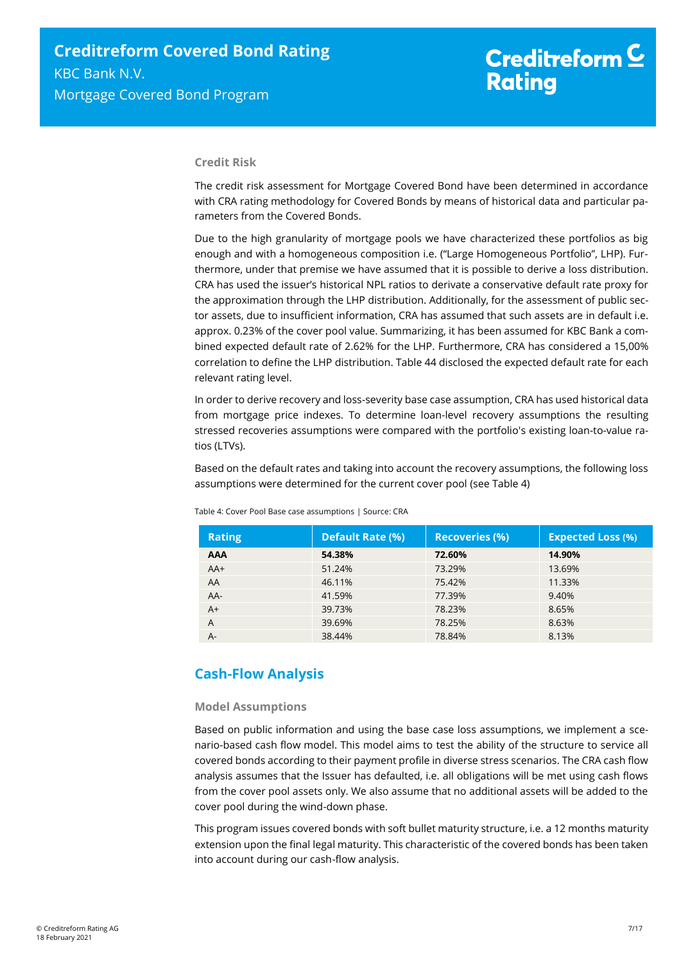# Creditreform<sup>C</sup> **Rating**

#### **Credit Risk**

The credit risk assessment for Mortgage Covered Bond have been determined in accordance with CRA rating methodology for Covered Bonds by means of historical data and particular parameters from the Covered Bonds.

Due to the high granularity of mortgage pools we have characterized these portfolios as big enough and with a homogeneous composition i.e. ("Large Homogeneous Portfolio", LHP). Furthermore, under that premise we have assumed that it is possible to derive a loss distribution. CRA has used the issuer's historical NPL ratios to derivate a conservative default rate proxy for the approximation through the LHP distribution. Additionally, for the assessment of public sector assets, due to insufficient information, CRA has assumed that such assets are in default i.e. approx. 0.23% of the cover pool value. Summarizing, it has been assumed for KBC Bank a combined expected default rate of 2.62% for the LHP. Furthermore, CRA has considered a 15,00% correlation to define the LHP distribution. [Table 44](#page-6-1) disclosed the expected default rate for each relevant rating level.

In order to derive recovery and loss-severity base case assumption, CRA has used historical data from mortgage price indexes. To determine loan-level recovery assumptions the resulting stressed recoveries assumptions were compared with the portfolio's existing loan-to-value ratios (LTVs).

Based on the default rates and taking into account the recovery assumptions, the following loss assumptions were determined for the current cover pool (se[e Table 4\)](#page-6-1)

| <b>Rating</b> | <b>Default Rate (%)</b> | <b>Recoveries (%)</b> | <b>Expected Loss (%)</b> |
|---------------|-------------------------|-----------------------|--------------------------|
| <b>AAA</b>    | 54.38%                  | 72.60%                | 14.90%                   |
| $AA+$         | 51.24%                  | 73.29%                | 13.69%                   |
| AA            | 46.11%                  | 75.42%                | 11.33%                   |
| $AA-$         | 41.59%                  | 77.39%                | 9.40%                    |
| $A+$          | 39.73%                  | 78.23%                | 8.65%                    |
| A             | 39.69%                  | 78.25%                | 8.63%                    |
| A-            | 38.44%                  | 78.84%                | 8.13%                    |

<span id="page-6-1"></span>Table 4: Cover Pool Base case assumptions | Source: CRA

## <span id="page-6-0"></span>**Cash-Flow Analysis**

#### **Model Assumptions**

Based on public information and using the base case loss assumptions, we implement a scenario-based cash flow model. This model aims to test the ability of the structure to service all covered bonds according to their payment profile in diverse stress scenarios. The CRA cash flow analysis assumes that the Issuer has defaulted, i.e. all obligations will be met using cash flows from the cover pool assets only. We also assume that no additional assets will be added to the cover pool during the wind-down phase.

This program issues covered bonds with soft bullet maturity structure, i.e. a 12 months maturity extension upon the final legal maturity. This characteristic of the covered bonds has been taken into account during our cash-flow analysis.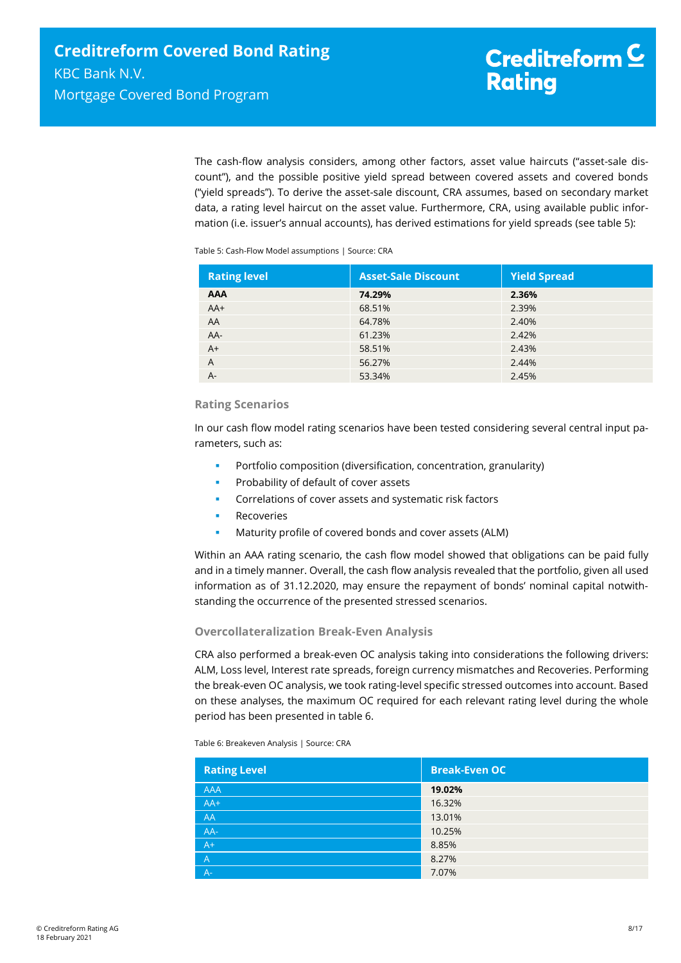The cash-flow analysis considers, among other factors, asset value haircuts ("asset-sale discount"), and the possible positive yield spread between covered assets and covered bonds ("yield spreads"). To derive the asset-sale discount, CRA assumes, based on secondary market data, a rating level haircut on the asset value. Furthermore, CRA, using available public information (i.e. issuer's annual accounts), has derived estimations for yield spreads (se[e table 5\)](#page-7-0):

<span id="page-7-0"></span>Table 5: Cash-Flow Model assumptions | Source: CRA

| <b>Rating level</b> | <b>Asset-Sale Discount</b> | <b>Yield Spread</b> |
|---------------------|----------------------------|---------------------|
| <b>AAA</b>          | 74.29%                     | 2.36%               |
| $AA+$               | 68.51%                     | 2.39%               |
| AA                  | 64.78%                     | 2.40%               |
| $AA-$               | 61.23%                     | 2.42%               |
| $A+$                | 58.51%                     | 2.43%               |
| $\overline{A}$      | 56.27%                     | 2.44%               |
| $A -$               | 53.34%                     | 2.45%               |

#### **Rating Scenarios**

In our cash flow model rating scenarios have been tested considering several central input parameters, such as:

- Portfolio composition (diversification, concentration, granularity)
- **Probability of default of cover assets**
- Correlations of cover assets and systematic risk factors
- Recoveries
- Maturity profile of covered bonds and cover assets (ALM)

Within an AAA rating scenario, the cash flow model showed that obligations can be paid fully and in a timely manner. Overall, the cash flow analysis revealed that the portfolio, given all used information as of 31.12.2020, may ensure the repayment of bonds' nominal capital notwithstanding the occurrence of the presented stressed scenarios.

#### **Overcollateralization Break-Even Analysis**

CRA also performed a break-even OC analysis taking into considerations the following drivers: ALM, Loss level, Interest rate spreads, foreign currency mismatches and Recoveries. Performing the break-even OC analysis, we took rating-level specific stressed outcomes into account. Based on these analyses, the maximum OC required for each relevant rating level during the whole period has been presented in [table 6.](#page-7-1)

<span id="page-7-1"></span>Table 6: Breakeven Analysis | Source: CRA

| <b>Rating Level</b> | <b>Break-Even OC</b> |
|---------------------|----------------------|
| AAA                 | 19.02%               |
| $AA+$               | 16.32%               |
| AA                  | 13.01%               |
| AA-                 | 10.25%               |
| $A^+$               | 8.85%                |
| $\overline{A}$      | 8.27%                |
| $A -$               | 7.07%                |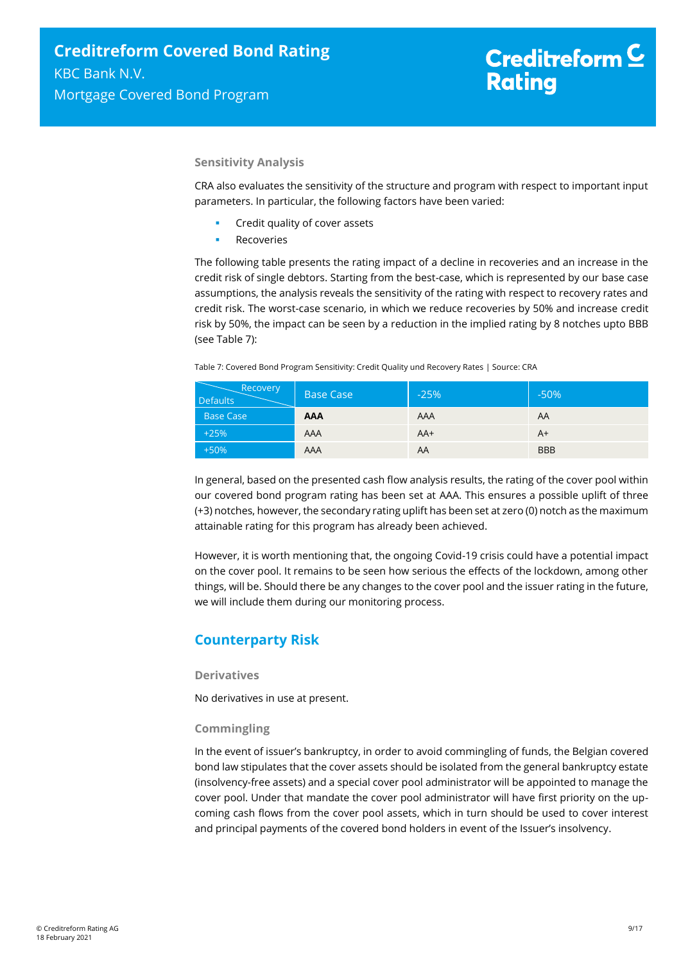# Creditreform<sup>C</sup> **Rating**

#### **Sensitivity Analysis**

CRA also evaluates the sensitivity of the structure and program with respect to important input parameters. In particular, the following factors have been varied:

- Credit quality of cover assets
- Recoveries

The following table presents the rating impact of a decline in recoveries and an increase in the credit risk of single debtors. Starting from the best-case, which is represented by our base case assumptions, the analysis reveals the sensitivity of the rating with respect to recovery rates and credit risk. The worst-case scenario, in which we reduce recoveries by 50% and increase credit risk by 50%, the impact can be seen by a reduction in the implied rating by 8 notches upto BBB (se[e Table 7\)](#page-8-1):

<span id="page-8-1"></span>Table 7: Covered Bond Program Sensitivity: Credit Quality und Recovery Rates | Source: CRA

| Recovery<br><b>Defaults</b> | <b>Base Case</b> | $-25%$ | $-50%$     |
|-----------------------------|------------------|--------|------------|
| <b>Base Case</b>            | <b>AAA</b>       | AAA    | AA         |
| $+25%$                      | AAA              | $AA+$  | A+         |
| $+50%$                      | AAA              | AA     | <b>BBB</b> |

In general, based on the presented cash flow analysis results, the rating of the cover pool within our covered bond program rating has been set at AAA. This ensures a possible uplift of three (+3) notches, however, the secondary rating uplift has been set at zero (0) notch as the maximum attainable rating for this program has already been achieved.

However, it is worth mentioning that, the ongoing Covid-19 crisis could have a potential impact on the cover pool. It remains to be seen how serious the effects of the lockdown, among other things, will be. Should there be any changes to the cover pool and the issuer rating in the future, we will include them during our monitoring process.

## <span id="page-8-0"></span>**Counterparty Risk**

#### **Derivatives**

No derivatives in use at present.

#### **Commingling**

In the event of issuer's bankruptcy, in order to avoid commingling of funds, the Belgian covered bond law stipulates that the cover assets should be isolated from the general bankruptcy estate (insolvency-free assets) and a special cover pool administrator will be appointed to manage the cover pool. Under that mandate the cover pool administrator will have first priority on the upcoming cash flows from the cover pool assets, which in turn should be used to cover interest and principal payments of the covered bond holders in event of the Issuer's insolvency.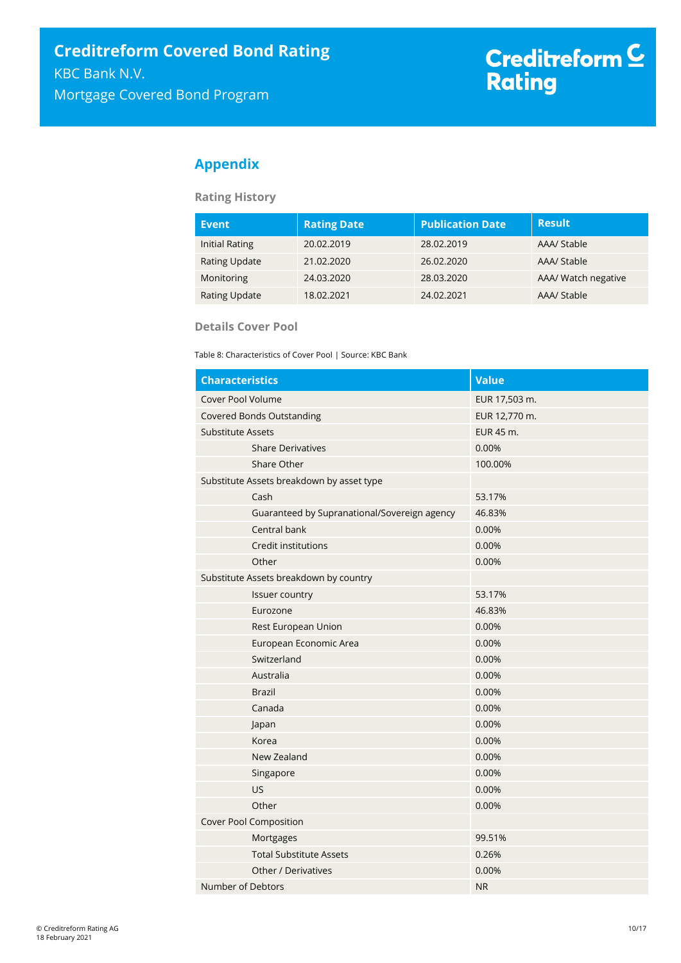## <span id="page-9-0"></span>**Appendix**

### **Rating History**

| <b>Event</b>          | <b>Rating Date</b> | <b>Publication Date</b> | <b>Result</b>       |
|-----------------------|--------------------|-------------------------|---------------------|
| <b>Initial Rating</b> | 20.02.2019         | 28.02.2019              | AAA/ Stable         |
| <b>Rating Update</b>  | 21.02.2020         | 26.02.2020              | AAA/ Stable         |
| Monitoring            | 24.03.2020         | 28.03.2020              | AAA/ Watch negative |
| <b>Rating Update</b>  | 18.02.2021         | 24.02.2021              | AAA/ Stable         |

#### **Details Cover Pool**

Table 8: Characteristics of Cover Pool | Source: KBC Bank

| <b>Characteristics</b>                       | <b>Value</b>  |
|----------------------------------------------|---------------|
| Cover Pool Volume                            | EUR 17,503 m. |
| <b>Covered Bonds Outstanding</b>             | EUR 12,770 m. |
| <b>Substitute Assets</b>                     | EUR 45 m.     |
| <b>Share Derivatives</b>                     | 0.00%         |
| Share Other                                  | 100.00%       |
| Substitute Assets breakdown by asset type    |               |
| Cash                                         | 53.17%        |
| Guaranteed by Supranational/Sovereign agency | 46.83%        |
| Central bank                                 | 0.00%         |
| Credit institutions                          | 0.00%         |
| Other                                        | 0.00%         |
| Substitute Assets breakdown by country       |               |
| Issuer country                               | 53.17%        |
| Eurozone                                     | 46.83%        |
| Rest European Union                          | 0.00%         |
| European Economic Area                       | 0.00%         |
| Switzerland                                  | 0.00%         |
| Australia                                    | 0.00%         |
| <b>Brazil</b>                                | 0.00%         |
| Canada                                       | 0.00%         |
| Japan                                        | 0.00%         |
| Korea                                        | 0.00%         |
| New Zealand                                  | 0.00%         |
| Singapore                                    | 0.00%         |
| US                                           | 0.00%         |
| Other                                        | 0.00%         |
| Cover Pool Composition                       |               |
| Mortgages                                    | 99.51%        |
| <b>Total Substitute Assets</b>               | 0.26%         |
| Other / Derivatives                          | 0.00%         |
| Number of Debtors                            | <b>NR</b>     |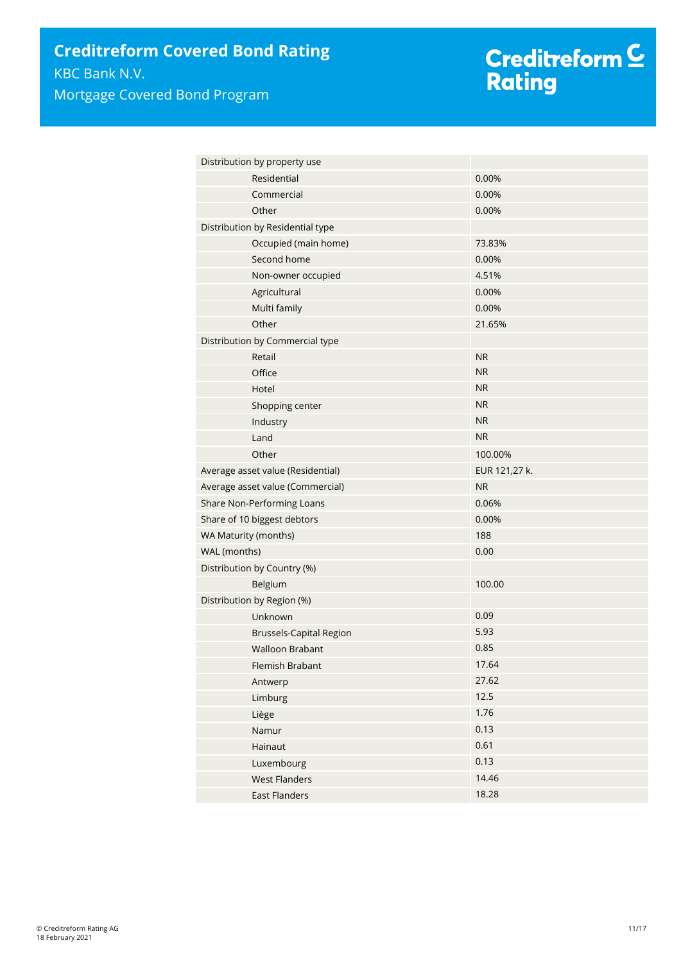| Distribution by property use      |               |
|-----------------------------------|---------------|
| Residential                       | 0.00%         |
| Commercial                        | 0.00%         |
| Other                             | 0.00%         |
| Distribution by Residential type  |               |
| Occupied (main home)              | 73.83%        |
| Second home                       | 0.00%         |
| Non-owner occupied                | 4.51%         |
| Agricultural                      | 0.00%         |
| Multi family                      | 0.00%         |
| Other                             | 21.65%        |
| Distribution by Commercial type   |               |
| Retail                            | <b>NR</b>     |
| Office                            | <b>NR</b>     |
| Hotel                             | <b>NR</b>     |
| Shopping center                   | <b>NR</b>     |
| Industry                          | <b>NR</b>     |
| Land                              | <b>NR</b>     |
| Other                             | 100.00%       |
| Average asset value (Residential) | EUR 121,27 k. |
| Average asset value (Commercial)  | <b>NR</b>     |
| Share Non-Performing Loans        | 0.06%         |
| Share of 10 biggest debtors       | 0.00%         |
| WA Maturity (months)              | 188           |
| WAL (months)                      | 0.00          |
| Distribution by Country (%)       |               |
| Belgium                           | 100.00        |
| Distribution by Region (%)        |               |
| Unknown                           | 0.09          |
| <b>Brussels-Capital Region</b>    | 5.93          |
| <b>Walloon Brabant</b>            | 0.85          |
| Flemish Brabant                   | 17.64         |
| Antwerp                           | 27.62         |
| Limburg                           | 12.5          |
| Liège                             | 1.76          |
| Namur                             | 0.13          |
| Hainaut                           | 0.61          |
| Luxembourg                        | 0.13          |
| <b>West Flanders</b>              | 14.46         |
| <b>East Flanders</b>              | 18.28         |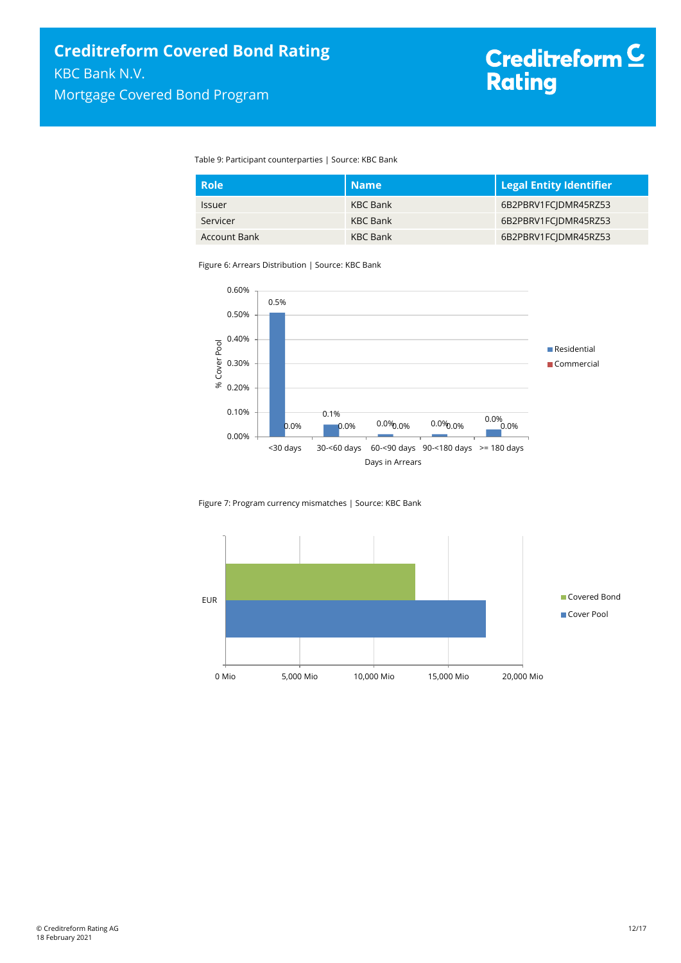Table 9: Participant counterparties | Source: KBC Bank

| <b>Role</b>         | <b>Name</b>     | <b>Legal Entity Identifier</b> |
|---------------------|-----------------|--------------------------------|
| <b>Issuer</b>       | KBC Bank        | 6B2PBRV1FCIDMR45RZ53           |
| Servicer            | <b>KBC Bank</b> | 6B2PBRV1FCIDMR45RZ53           |
| <b>Account Bank</b> | <b>KBC Bank</b> | 6B2PBRV1FC DMR45RZ53           |

Figure 6: Arrears Distribution | Source: KBC Bank



Figure 7: Program currency mismatches | Source: KBC Bank

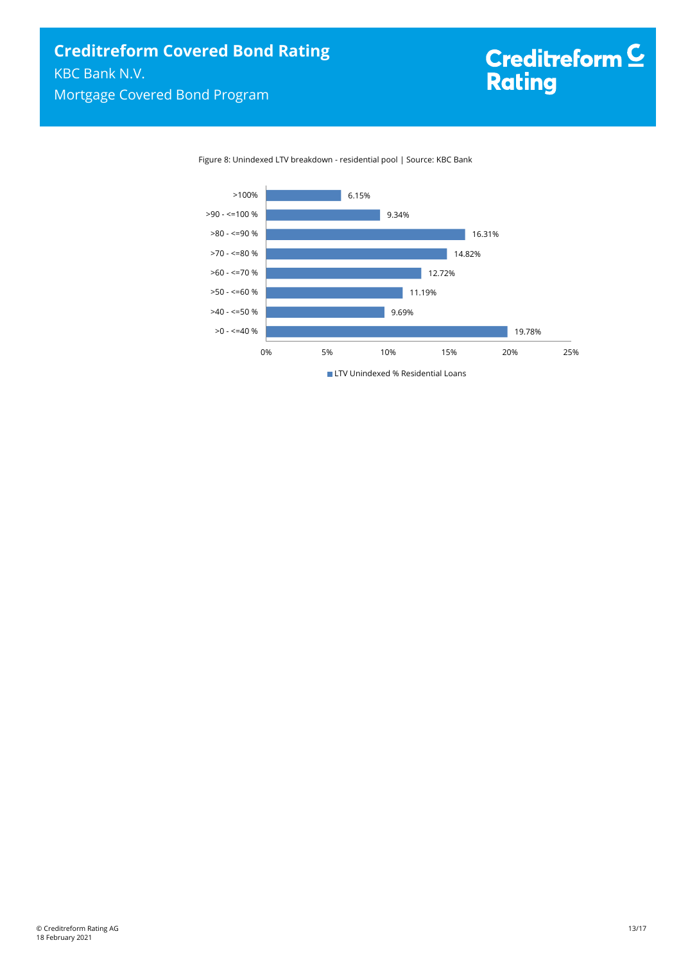Figure 8: Unindexed LTV breakdown - residential pool | Source: KBC Bank

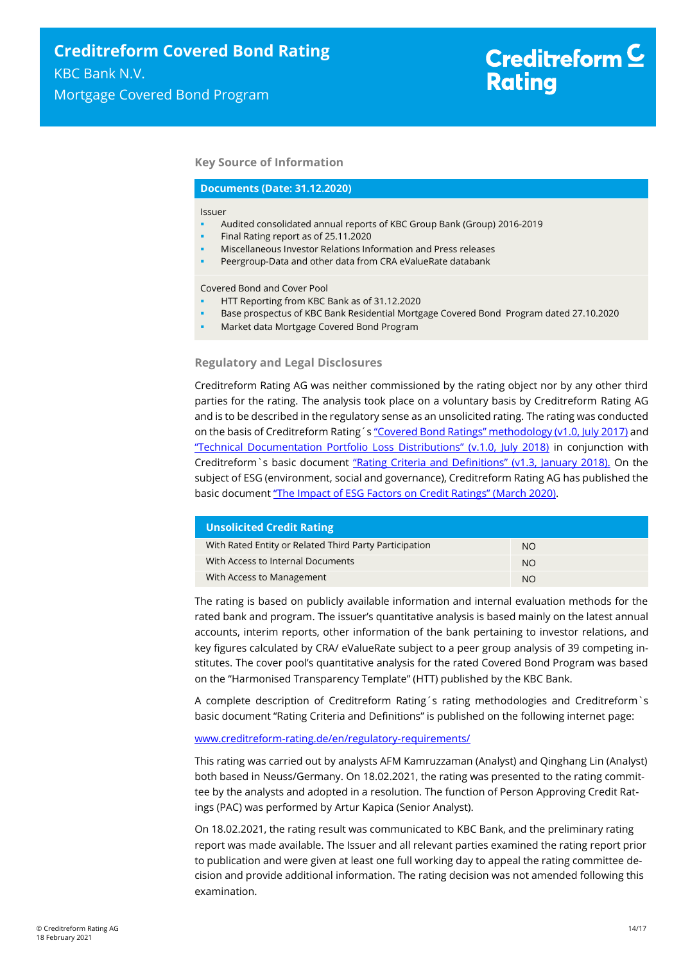#### **Key Source of Information**

#### **Documents (Date: 31.12.2020)**

#### Issuer

- Audited consolidated annual reports of KBC Group Bank (Group) 2016-2019
- Final Rating report as of 25.11.2020
- Miscellaneous Investor Relations Information and Press releases
- Peergroup-Data and other data from CRA eValueRate databank

Covered Bond and Cover Pool

- HTT Reporting from KBC Bank as of 31.12.2020
- Base prospectus of KBC Bank Residential Mortgage Covered Bond Program dated 27.10.2020
- Market data Mortgage Covered Bond Program

#### **Regulatory and Legal Disclosures**

Creditreform Rating AG was neither commissioned by the rating object nor by any other third parties for the rating. The analysis took place on a voluntary basis by Creditreform Rating AG and is to be described in the regulatory sense as an unsolicited rating. The rating was conducted on the basis of Creditreform Rating's ["Covered Bond Ratings" methodology \(v1.0, July 2017\)](https://creditreform-rating.de/en/about-us/regulatory-requirements.html?file=files/content/downloads/Externes%20Rating/Regulatorische%20Anforderungen/EN/Ratingmethodiken%20EN/Rating%20Methodology%20Covered%20Bonds.pdf) and ["Technical Documentation Portfolio Loss Distributions" \(v.1.0, July 2018\)](https://creditreform-rating.de/en/about-us/regulatory-requirements.html?file=files/content/downloads/Externes%20Rating/Regulatorische%20Anforderungen/EN/Ratingmethodiken%20EN/Technical%20Documentation%20Portfolio%20Loss%20Distributions.pdf) in conjunction with Creditreform `s basic document ["Rating Criteria and Definitions" \(v1.3, January 2018\).](https://creditreform-rating.de/en/about-us/regulatory-requirements.html?file=files/content/downloads/Externes%20Rating/Regulatorische%20Anforderungen/EN/Ratingmethodiken%20EN/CRAG%20Rating%20Criteria%20and%20Definitions.pdf) On the subject of ESG (environment, social and governance), Creditreform Rating AG has published the basic document ["The Impact of ESG Factors on Credit Ratings" \(March 202](https://creditreform-rating.de/en/about-us/regulatory-requirements.html?file=files/content/downloads/Externes%20Rating/Regulatorische%20Anforderungen/EN/Ratingmethodiken%20EN/The%20Impact%20of%20ESG%20Factors%20on%20Credit%20Ratings.pdf)0).

| <b>Unsolicited Credit Rating</b>                       |           |
|--------------------------------------------------------|-----------|
| With Rated Entity or Related Third Party Participation | NO.       |
| With Access to Internal Documents                      | <b>NO</b> |
| With Access to Management                              | <b>NO</b> |

The rating is based on publicly available information and internal evaluation methods for the rated bank and program. The issuer's quantitative analysis is based mainly on the latest annual accounts, interim reports, other information of the bank pertaining to investor relations, and key figures calculated by CRA/ eValueRate subject to a peer group analysis of 39 competing institutes. The cover pool's quantitative analysis for the rated Covered Bond Program was based on the "Harmonised Transparency Template" (HTT) published by the KBC Bank.

A complete description of Creditreform Rating´s rating methodologies and Creditreform`s basic document "Rating Criteria and Definitions" is published on the following internet page:

#### [www.creditreform-rating.de/](http://www.creditreform-rating.de/)en/regulatory-requirements/

This rating was carried out by analysts AFM Kamruzzaman (Analyst) and Qinghang Lin (Analyst) both based in Neuss/Germany. On 18.02.2021, the rating was presented to the rating committee by the analysts and adopted in a resolution. The function of Person Approving Credit Ratings (PAC) was performed by Artur Kapica (Senior Analyst).

On 18.02.2021, the rating result was communicated to KBC Bank, and the preliminary rating report was made available. The Issuer and all relevant parties examined the rating report prior to publication and were given at least one full working day to appeal the rating committee decision and provide additional information. The rating decision was not amended following this examination.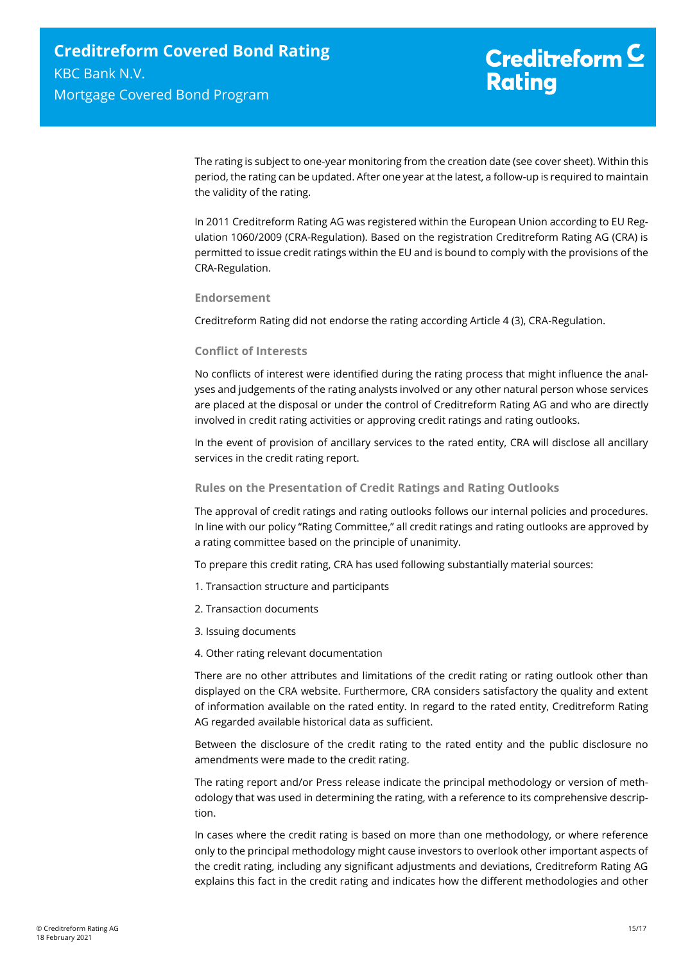The rating is subject to one-year monitoring from the creation date (see cover sheet). Within this period, the rating can be updated. After one year at the latest, a follow-up is required to maintain the validity of the rating.

In 2011 Creditreform Rating AG was registered within the European Union according to EU Regulation 1060/2009 (CRA-Regulation). Based on the registration Creditreform Rating AG (CRA) is permitted to issue credit ratings within the EU and is bound to comply with the provisions of the CRA-Regulation.

#### **Endorsement**

Creditreform Rating did not endorse the rating according Article 4 (3), CRA-Regulation.

#### **Conflict of Interests**

No conflicts of interest were identified during the rating process that might influence the analyses and judgements of the rating analysts involved or any other natural person whose services are placed at the disposal or under the control of Creditreform Rating AG and who are directly involved in credit rating activities or approving credit ratings and rating outlooks.

In the event of provision of ancillary services to the rated entity, CRA will disclose all ancillary services in the credit rating report.

#### **Rules on the Presentation of Credit Ratings and Rating Outlooks**

The approval of credit ratings and rating outlooks follows our internal policies and procedures. In line with our policy "Rating Committee," all credit ratings and rating outlooks are approved by a rating committee based on the principle of unanimity.

To prepare this credit rating, CRA has used following substantially material sources:

- 1. Transaction structure and participants
- 2. Transaction documents
- 3. Issuing documents
- 4. Other rating relevant documentation

There are no other attributes and limitations of the credit rating or rating outlook other than displayed on the CRA website. Furthermore, CRA considers satisfactory the quality and extent of information available on the rated entity. In regard to the rated entity, Creditreform Rating AG regarded available historical data as sufficient.

Between the disclosure of the credit rating to the rated entity and the public disclosure no amendments were made to the credit rating.

The rating report and/or Press release indicate the principal methodology or version of methodology that was used in determining the rating, with a reference to its comprehensive description.

In cases where the credit rating is based on more than one methodology, or where reference only to the principal methodology might cause investors to overlook other important aspects of the credit rating, including any significant adjustments and deviations, Creditreform Rating AG explains this fact in the credit rating and indicates how the different methodologies and other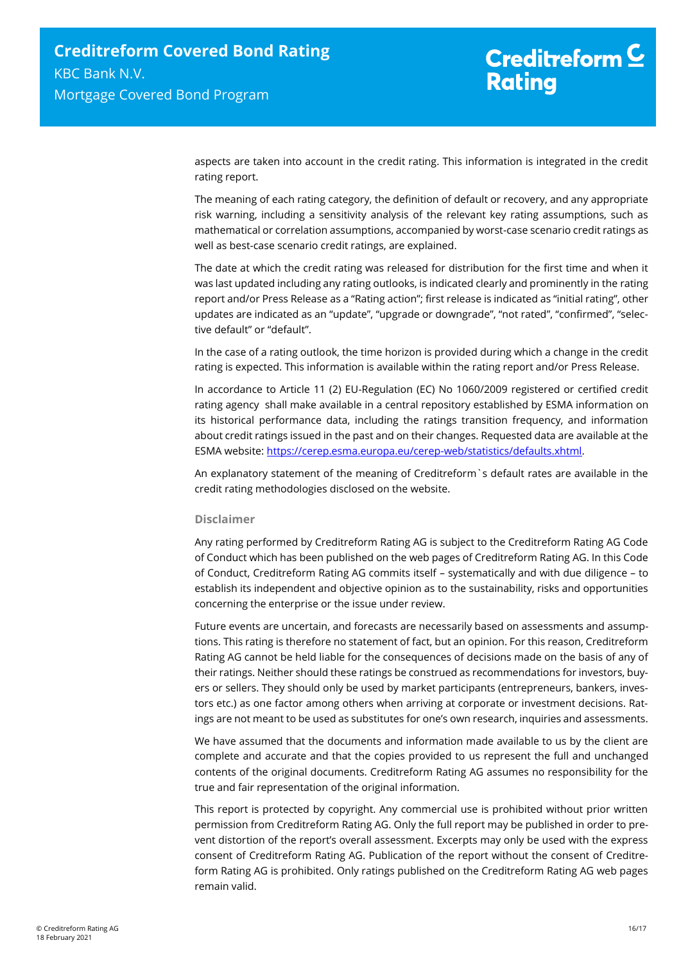aspects are taken into account in the credit rating. This information is integrated in the credit rating report.

The meaning of each rating category, the definition of default or recovery, and any appropriate risk warning, including a sensitivity analysis of the relevant key rating assumptions, such as mathematical or correlation assumptions, accompanied by worst-case scenario credit ratings as well as best-case scenario credit ratings, are explained.

The date at which the credit rating was released for distribution for the first time and when it was last updated including any rating outlooks, is indicated clearly and prominently in the rating report and/or Press Release as a "Rating action"; first release is indicated as "initial rating", other updates are indicated as an "update", "upgrade or downgrade", "not rated", "confirmed", "selective default" or "default".

In the case of a rating outlook, the time horizon is provided during which a change in the credit rating is expected. This information is available within the rating report and/or Press Release.

In accordance to Article 11 (2) EU-Regulation (EC) No 1060/2009 registered or certified credit rating agency shall make available in a central repository established by ESMA information on its historical performance data, including the ratings transition frequency, and information about credit ratings issued in the past and on their changes. Requested data are available at the ESMA website: [https://cerep.esma.europa.eu/cerep-web/statistics/defaults.xhtml.](https://cerep.esma.europa.eu/cerep-web/statistics/defaults.xhtml)

An explanatory statement of the meaning of Creditreform`s default rates are available in the credit rating methodologies disclosed on the website.

#### **Disclaimer**

Any rating performed by Creditreform Rating AG is subject to the Creditreform Rating AG Code of Conduct which has been published on the web pages of Creditreform Rating AG. In this Code of Conduct, Creditreform Rating AG commits itself – systematically and with due diligence – to establish its independent and objective opinion as to the sustainability, risks and opportunities concerning the enterprise or the issue under review.

Future events are uncertain, and forecasts are necessarily based on assessments and assumptions. This rating is therefore no statement of fact, but an opinion. For this reason, Creditreform Rating AG cannot be held liable for the consequences of decisions made on the basis of any of their ratings. Neither should these ratings be construed as recommendations for investors, buyers or sellers. They should only be used by market participants (entrepreneurs, bankers, investors etc.) as one factor among others when arriving at corporate or investment decisions. Ratings are not meant to be used as substitutes for one's own research, inquiries and assessments.

We have assumed that the documents and information made available to us by the client are complete and accurate and that the copies provided to us represent the full and unchanged contents of the original documents. Creditreform Rating AG assumes no responsibility for the true and fair representation of the original information.

This report is protected by copyright. Any commercial use is prohibited without prior written permission from Creditreform Rating AG. Only the full report may be published in order to prevent distortion of the report's overall assessment. Excerpts may only be used with the express consent of Creditreform Rating AG. Publication of the report without the consent of Creditreform Rating AG is prohibited. Only ratings published on the Creditreform Rating AG web pages remain valid.